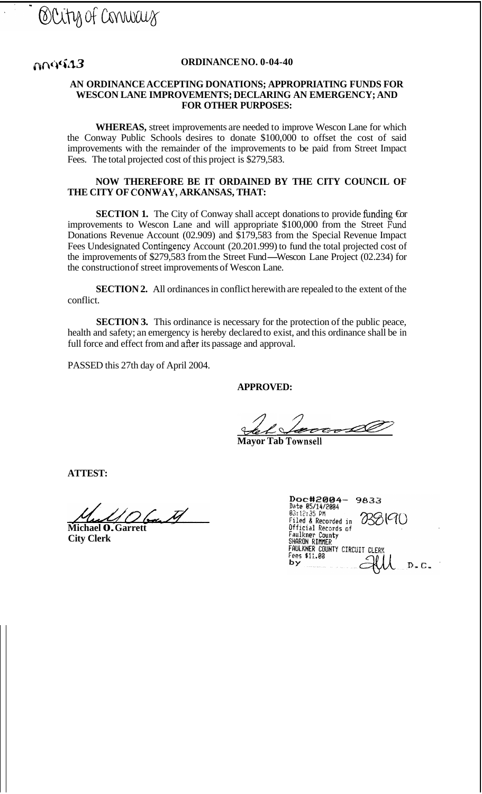### **f** $\Omega$ **1 <b>***ORDINANCE NO. 0-04-40 ORDINANCE NO. 0-04-40*

#### **AN ORDINANCE ACCEPTING DONATIONS; APPROPRIATING FUNDS FOR WESCON LANE IMPROVEMENTS; DECLARING AN EMERGENCY; AND FOR OTHER PURPOSES:**

**WHEREAS,** street improvements are needed to improve Wescon Lane for which the Conway Public Schools desires to donate \$100,000 to offset the cost of said improvements with the remainder of the improvements to be paid from Street Impact Fees. The total projected cost of this project is \$279,583.

#### **NOW THEREFORE BE IT ORDAINED BY THE CITY COUNCIL OF THE CITY OF CONWAY, ARKANSAS, THAT:**

**SECTION 1.** The City of Conway shall accept donations to provide funding  $\hat{\mathbf{g}}$ improvements to Wescon Lane and will appropriate \$100,000 from the Street Fund Donations Revenue Account (02.909) and \$179,583 from the Special Revenue Impact Fees Undesignated Contingency Account (20.201.999) to fund the total projected cost of the improvements of \$279,583 from the Street Fund-Wescon Lane Project (02.234) for the construction of street improvements of Wescon Lane.

**SECTION 2.** All ordinances in conflict herewith are repealed to the extent of the conflict.

**SECTION 3.** This ordinance is necessary for the protection of the public peace, health and safety; an emergency is hereby declared to exist, and this ordinance shall be in full force and effect from and after its passage and approval.

PASSED this 27th day of April 2004.

### **APPROVED:**

<u>ED:</u><br> *Let*  $\epsilon$  and *C* is the Townsell **<sup>I</sup>***d* 

**Mayor Tab Townsell** 

**ATTEST:** 

**Michael 0. Garrett** 

**City Clerk** 

| Doc#2004-<br>9833<br>Date 05/14/2004           |
|------------------------------------------------|
| 03:12:35 PM<br>}(C1()<br>Filed & Recorded in   |
| Official Records of<br>Faulkner County         |
| SHARON RIMMER<br>FAULKNER COUNTY CIRCUIT CLERK |
| Fees \$11.00                                   |